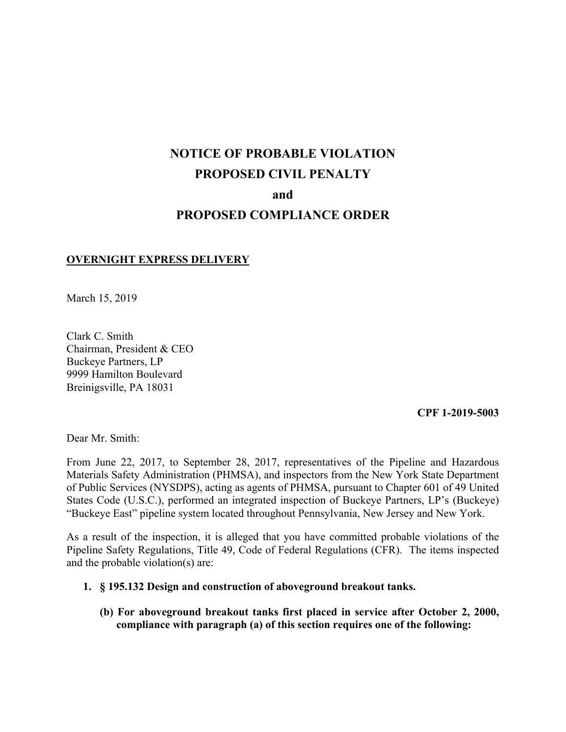# **NOTICE OF PROBABLE VIOLATION PROPOSED CIVIL PENALTY and PROPOSED COMPLIANCE ORDER**

#### **OVERNIGHT EXPRESS DELIVERY**

March 15, 2019

Clark C. Smith Chairman, President & CEO Buckeye Partners, LP 9999 Hamilton Boulevard Breinigsville, PA 18031

#### **CPF 1-2019-5003**

Dear Mr. Smith:

From June 22, 2017, to September 28, 2017, representatives of the Pipeline and Hazardous Materials Safety Administration (PHMSA), and inspectors from the New York State Department of Public Services (NYSDPS), acting as agents of PHMSA, pursuant to Chapter 601 of 49 United States Code (U.S.C.), performed an integrated inspection of Buckeye Partners, LP's (Buckeye) "Buckeye East" pipeline system located throughout Pennsylvania, New Jersey and New York.

 Pipeline Safety Regulations, Title 49, Code of Federal Regulations (CFR). The items inspected As a result of the inspection, it is alleged that you have committed probable violations of the and the probable violation(s) are:

#### **1. § 195.132 Design and construction of aboveground breakout tanks.**

**(b) For aboveground breakout tanks first placed in service after October 2, 2000, compliance with paragraph (a) of this section requires one of the following:**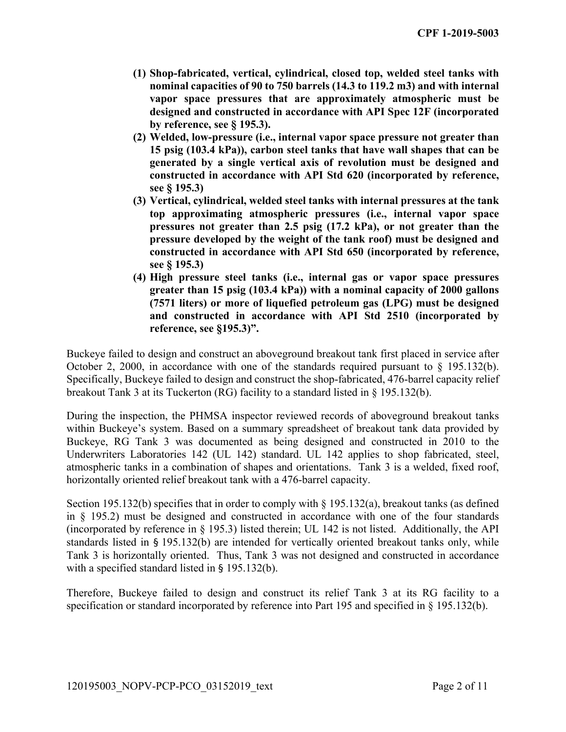- **(1) Shop-fabricated, vertical, cylindrical, closed top, welded steel tanks with nominal capacities of 90 to 750 barrels (14.3 to 119.2 m3) and with internal vapor space pressures that are approximately atmospheric must be designed and constructed in accordance with API Spec 12F (incorporated by reference, see § 195.3).**
- **(2) Welded, low-pressure (i.e., internal vapor space pressure not greater than 15 psig (103.4 kPa)), carbon steel tanks that have wall shapes that can be generated by a single vertical axis of revolution must be designed and constructed in accordance with API Std 620 (incorporated by reference, see § 195.3)**
- **(3) Vertical, cylindrical, welded steel tanks with internal pressures at the tank top approximating atmospheric pressures (i.e., internal vapor space pressures not greater than 2.5 psig (17.2 kPa), or not greater than the pressure developed by the weight of the tank roof) must be designed and constructed in accordance with API Std 650 (incorporated by reference, see § 195.3)**
- **(4) High pressure steel tanks (i.e., internal gas or vapor space pressures greater than 15 psig (103.4 kPa)) with a nominal capacity of 2000 gallons (7571 liters) or more of liquefied petroleum gas (LPG) must be designed and constructed in accordance with API Std 2510 (incorporated by reference, see §195.3)".**

Buckeye failed to design and construct an aboveground breakout tank first placed in service after October 2, 2000, in accordance with one of the standards required pursuant to  $\S$  195.132(b). Specifically, Buckeye failed to design and construct the shop-fabricated, 476-barrel capacity relief breakout Tank 3 at its Tuckerton (RG) facility to a standard listed in § 195.132(b).

 atmospheric tanks in a combination of shapes and orientations. Tank 3 is a welded, fixed roof, During the inspection, the PHMSA inspector reviewed records of aboveground breakout tanks within Buckeye's system. Based on a summary spreadsheet of breakout tank data provided by Buckeye, RG Tank 3 was documented as being designed and constructed in 2010 to the Underwriters Laboratories 142 (UL 142) standard. UL 142 applies to shop fabricated, steel, horizontally oriented relief breakout tank with a 476-barrel capacity.

 in § 195.2) must be designed and constructed in accordance with one of the four standards Section 195.132(b) specifies that in order to comply with § 195.132(a), breakout tanks (as defined (incorporated by reference in § 195.3) listed therein; UL 142 is not listed. Additionally, the API standards listed in § 195.132(b) are intended for vertically oriented breakout tanks only, while Tank 3 is horizontally oriented. Thus, Tank 3 was not designed and constructed in accordance with a specified standard listed in § 195.132(b).

Therefore, Buckeye failed to design and construct its relief Tank 3 at its RG facility to a specification or standard incorporated by reference into Part 195 and specified in § 195.132(b).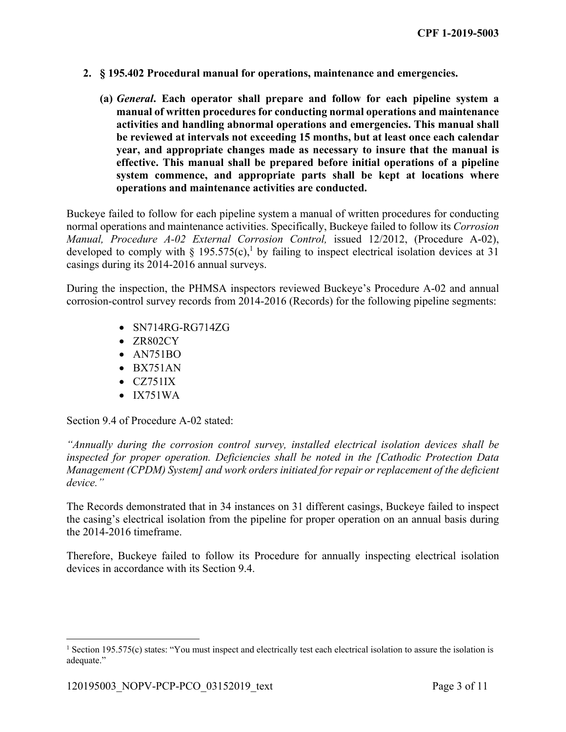- **2. § 195.402 Procedural manual for operations, maintenance and emergencies.**
	- **(a)** *General***. Each operator shall prepare and follow for each pipeline system a manual of written procedures for conducting normal operations and maintenance activities and handling abnormal operations and emergencies. This manual shall be reviewed at intervals not exceeding 15 months, but at least once each calendar year, and appropriate changes made as necessary to insure that the manual is effective. This manual shall be prepared before initial operations of a pipeline system commence, and appropriate parts shall be kept at locations where operations and maintenance activities are conducted.**

 Buckeye failed to follow for each pipeline system a manual of written procedures for conducting normal operations and maintenance activities. Specifically, Buckeye failed to follow its *Corrosion Manual, Procedure A-02 External Corrosion Control,* issued 12/2012, (Procedure A-02), developed to comply with § 195.575(c),<sup>1</sup> by failing to inspect electrical isolation devices at 31 casings during its 2014-2016 annual surveys.

During the inspection, the PHMSA inspectors reviewed Buckeye's Procedure A-02 and annual corrosion-control survey records from 2014-2016 (Records) for the following pipeline segments:

- $\bullet$  SN714RG-RG714ZG
- ZR802CY
- AN751BO
- $-BX751AN$
- $\bullet$  CZ751IX
- $\bullet$  IX751WA

Section 9.4 of Procedure A-02 stated:

*"Annually during the corrosion control survey, installed electrical isolation devices shall be inspected for proper operation. Deficiencies shall be noted in the [Cathodic Protection Data Management (CPDM) System] and work orders initiated for repair or replacement of the deficient device."* 

The Records demonstrated that in 34 instances on 31 different casings, Buckeye failed to inspect the casing's electrical isolation from the pipeline for proper operation on an annual basis during the 2014-2016 timeframe.

Therefore, Buckeye failed to follow its Procedure for annually inspecting electrical isolation devices in accordance with its Section 9.4.

<u>.</u>

<sup>&</sup>lt;sup>1</sup> Section 195.575(c) states: "You must inspect and electrically test each electrical isolation to assure the isolation is adequate."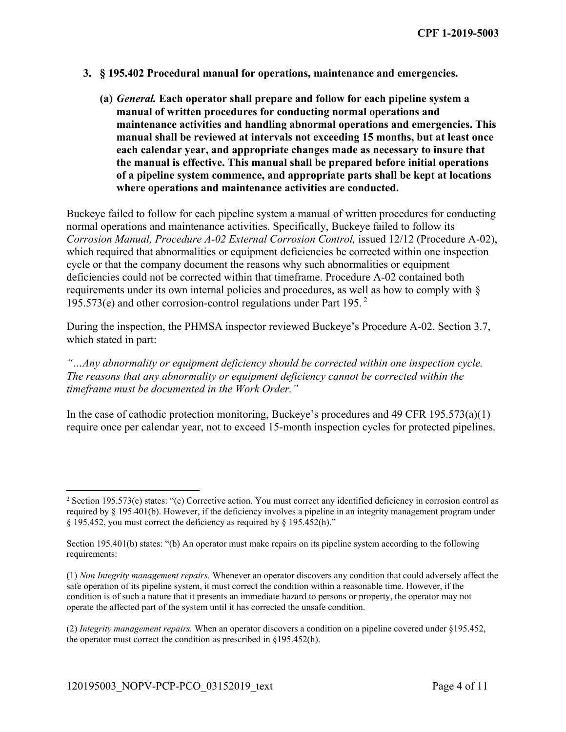- **3. § 195.402 Procedural manual for operations, maintenance and emergencies.**
	- **(a)** *General.* **Each operator shall prepare and follow for each pipeline system a manual of written procedures for conducting normal operations and maintenance activities and handling abnormal operations and emergencies. This manual shall be reviewed at intervals not exceeding 15 months, but at least once each calendar year, and appropriate changes made as necessary to insure that the manual is effective. This manual shall be prepared before initial operations of a pipeline system commence, and appropriate parts shall be kept at locations where operations and maintenance activities are conducted.**

Buckeye failed to follow for each pipeline system a manual of written procedures for conducting normal operations and maintenance activities. Specifically, Buckeye failed to follow its *Corrosion Manual, Procedure A-02 External Corrosion Control,* issued 12/12 (Procedure A-02), which required that abnormalities or equipment deficiencies be corrected within one inspection cycle or that the company document the reasons why such abnormalities or equipment deficiencies could not be corrected within that timeframe. Procedure A-02 contained both requirements under its own internal policies and procedures, as well as how to comply with § 195.573(e) and other corrosion-control regulations under Part 195. 2

During the inspection, the PHMSA inspector reviewed Buckeye's Procedure A-02. Section 3.7, which stated in part:

*"…Any abnormality or equipment deficiency should be corrected within one inspection cycle. The reasons that any abnormality or equipment deficiency cannot be corrected within the timeframe must be documented in the Work Order."* 

In the case of cathodic protection monitoring, Buckeye's procedures and 49 CFR 195.573(a)(1) require once per calendar year, not to exceed 15-month inspection cycles for protected pipelines.

1

<sup>2</sup> Section 195.573(e) states: "(e) Corrective action. You must correct any identified deficiency in corrosion control as required by § 195.401(b). However, if the deficiency involves a pipeline in an integrity management program under § 195.452, you must correct the deficiency as required by § 195.452(h)."

 Section 195.401(b) states: "(b) An operator must make repairs on its pipeline system according to the following requirements:

<sup>(1)</sup> *Non Integrity management repairs.* Whenever an operator discovers any condition that could adversely affect the safe operation of its pipeline system, it must correct the condition within a reasonable time. However, if the condition is of such a nature that it presents an immediate hazard to persons or property, the operator may not operate the affected part of the system until it has corrected the unsafe condition.

<sup>(2)</sup> *Integrity management repairs.* When an operator discovers a condition on a pipeline covered under §195.452, the operator must correct the condition as prescribed in §195.452(h).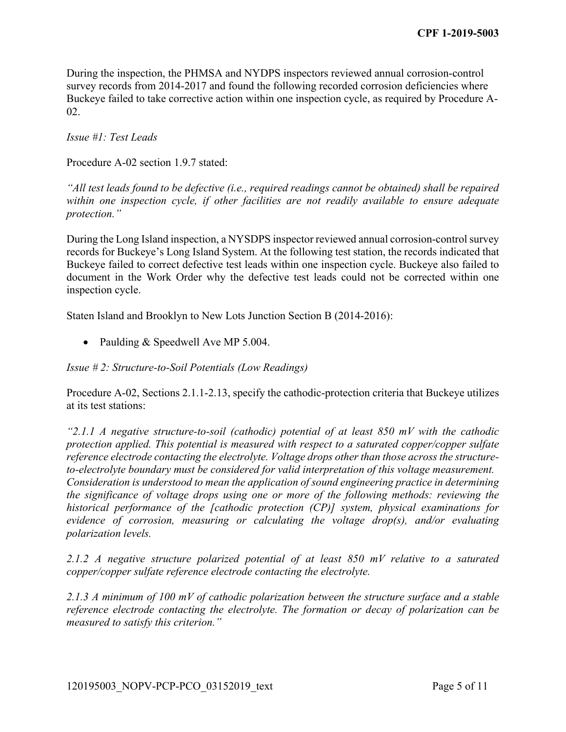During the inspection, the PHMSA and NYDPS inspectors reviewed annual corrosion-control survey records from 2014-2017 and found the following recorded corrosion deficiencies where Buckeye failed to take corrective action within one inspection cycle, as required by Procedure A-02.

*Issue #1: Test Leads* 

Procedure A-02 section 1.9.7 stated:

*"All test leads found to be defective (i.e., required readings cannot be obtained) shall be repaired within one inspection cycle, if other facilities are not readily available to ensure adequate protection."* 

During the Long Island inspection, a NYSDPS inspector reviewed annual corrosion-control survey records for Buckeye's Long Island System. At the following test station, the records indicated that Buckeye failed to correct defective test leads within one inspection cycle. Buckeye also failed to document in the Work Order why the defective test leads could not be corrected within one inspection cycle.

Staten Island and Brooklyn to New Lots Junction Section B (2014-2016):

• Paulding & Speedwell Ave MP 5.004.

*Issue # 2: Structure-to-Soil Potentials (Low Readings)* 

Procedure A-02, Sections [2.1.1-2.13](https://2.1.1-2.13), specify the cathodic-protection criteria that Buckeye utilizes at its test stations:

*"2.1.1 A negative structure-to-soil (cathodic) potential of at least 850 mV with the cathodic protection applied. This potential is measured with respect to a saturated copper/copper sulfate reference electrode contacting the electrolyte. Voltage drops other than those across the structureto-electrolyte boundary must be considered for valid interpretation of this voltage measurement. Consideration is understood to mean the application of sound engineering practice in determining the significance of voltage drops using one or more of the following methods: reviewing the historical performance of the [cathodic protection (CP)] system, physical examinations for evidence of corrosion, measuring or calculating the voltage drop(s), and/or evaluating polarization levels.* 

*2.1.2 A negative structure polarized potential of at least 850 mV relative to a saturated copper/copper sulfate reference electrode contacting the electrolyte.* 

*2.1.3 A minimum of 100 mV of cathodic polarization between the structure surface and a stable reference electrode contacting the electrolyte. The formation or decay of polarization can be measured to satisfy this criterion."*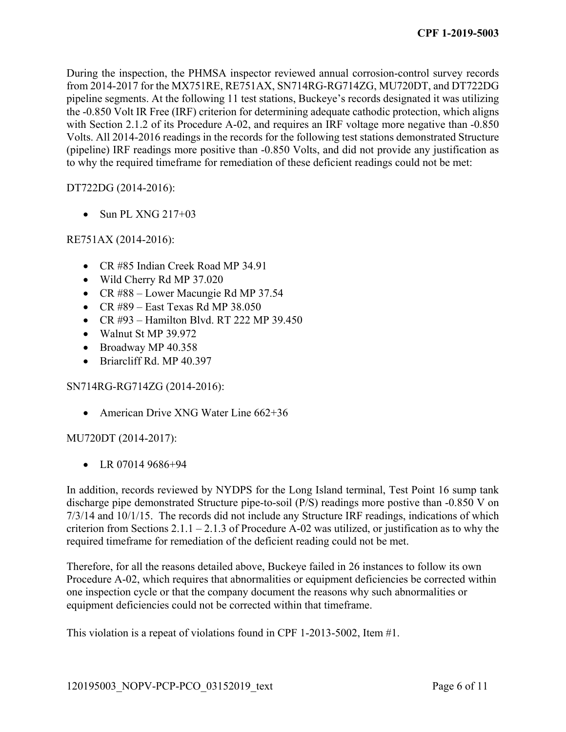During the inspection, the PHMSA inspector reviewed annual corrosion-control survey records from 2014-2017 for the MX751RE, RE751AX, SN714RG-RG714ZG, MU720DT, and DT722DG pipeline segments. At the following 11 test stations, Buckeye's records designated it was utilizing the -0.850 Volt IR Free (IRF) criterion for determining adequate cathodic protection, which aligns with Section 2.1.2 of its Procedure A-02, and requires an IRF voltage more negative than -0.850 Volts. All 2014-2016 readings in the records for the following test stations demonstrated Structure (pipeline) IRF readings more positive than -0.850 Volts, and did not provide any justification as to why the required timeframe for remediation of these deficient readings could not be met:

## DT722DG (2014-2016):

 $\bullet$  Sun PL XNG 217+03

## RE751AX (2014-2016):

- CR #85 Indian Creek Road MP 34.91
- Wild Cherry Rd MP 37.020
- CR #88 Lower Macungie Rd MP 37.54
- $\bullet$  CR #89 East Texas Rd MP 38.050
- CR  $\#93$  Hamilton Blvd. RT 222 MP 39.450
- Walnut St MP 39.972
- Broadway MP 40.358
- Briarcliff Rd. MP 40.397

#### SN714RG-RG714ZG (2014-2016):

• American Drive XNG Water Line 662+36

#### MU720DT (2014-2017):

 $\bullet$  LR 07014 9686+94

In addition, records reviewed by NYDPS for the Long Island terminal, Test Point 16 sump tank discharge pipe demonstrated Structure pipe-to-soil (P/S) readings more postive than -0.850 V on 7/3/14 and 10/1/15. The records did not include any Structure IRF readings, indications of which criterion from Sections  $2.1.1 - 2.1.3$  of Procedure A-02 was utilized, or justification as to why the required timeframe for remediation of the deficient reading could not be met.

Therefore, for all the reasons detailed above, Buckeye failed in 26 instances to follow its own Procedure A-02, which requires that abnormalities or equipment deficiencies be corrected within one inspection cycle or that the company document the reasons why such abnormalities or equipment deficiencies could not be corrected within that timeframe.

This violation is a repeat of violations found in CPF 1-2013-5002, Item #1.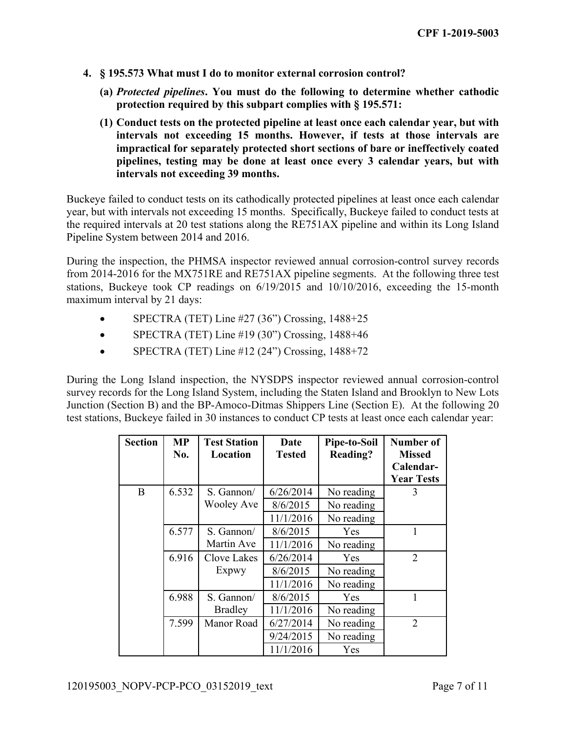- **4. § 195.573 What must I do to monitor external corrosion control?** 
	- **(a)** *Protected pipelines***. You must do the following to determine whether cathodic protection required by this subpart complies with § 195.571:**
	- **(1) Conduct tests on the protected pipeline at least once each calendar year, but with intervals not exceeding 15 months. However, if tests at those intervals are impractical for separately protected short sections of bare or ineffectively coated pipelines, testing may be done at least once every 3 calendar years, but with intervals not exceeding 39 months.**

Buckeye failed to conduct tests on its cathodically protected pipelines at least once each calendar year, but with intervals not exceeding 15 months. Specifically, Buckeye failed to conduct tests at the required intervals at 20 test stations along the RE751AX pipeline and within its Long Island Pipeline System between 2014 and 2016.

During the inspection, the PHMSA inspector reviewed annual corrosion-control survey records from 2014-2016 for the MX751RE and RE751AX pipeline segments. At the following three test stations, Buckeye took CP readings on 6/19/2015 and 10/10/2016, exceeding the 15-month maximum interval by 21 days:

- $\bullet$  SPECTRA (TET) Line #27 (36") Crossing, 1488+25
- SPECTRA (TET) Line #19 (30") Crossing, 1488+46
- $\bullet$  SPECTRA (TET) Line #12 (24") Crossing, 1488+72

During the Long Island inspection, the NYSDPS inspector reviewed annual corrosion-control survey records for the Long Island System, including the Staten Island and Brooklyn to New Lots Junction (Section B) and the BP-Amoco-Ditmas Shippers Line (Section E). At the following 20 test stations, Buckeye failed in 30 instances to conduct CP tests at least once each calendar year:

| <b>Section</b> | <b>MP</b><br>No. | <b>Test Station</b><br>Location | Date<br><b>Tested</b> | Pipe-to-Soil<br><b>Reading?</b> | Number of<br><b>Missed</b><br>Calendar- |
|----------------|------------------|---------------------------------|-----------------------|---------------------------------|-----------------------------------------|
|                |                  |                                 |                       |                                 | <b>Year Tests</b>                       |
| B              | 6.532            | S. Gannon/                      | 6/26/2014             | No reading                      | 3                                       |
|                |                  | <b>Wooley Ave</b>               | 8/6/2015              | No reading                      |                                         |
|                |                  |                                 | 11/1/2016             | No reading                      |                                         |
|                | 6.577            | S. Gannon/                      | 8/6/2015              | <b>Yes</b>                      |                                         |
|                |                  | Martin Ave                      | 11/1/2016             | No reading                      |                                         |
|                | 6.916            | Clove Lakes                     | 6/26/2014             | Yes                             | 2                                       |
|                |                  | Expwy                           | 8/6/2015              | No reading                      |                                         |
|                |                  |                                 | 11/1/2016             | No reading                      |                                         |
|                | 6.988            | S. Gannon/                      | 8/6/2015              | Yes                             |                                         |
|                |                  | <b>Bradley</b>                  | 11/1/2016             | No reading                      |                                         |
|                | 7.599            | Manor Road                      | 6/27/2014             | No reading                      | 2                                       |
|                |                  |                                 | 9/24/2015             | No reading                      |                                         |
|                |                  |                                 | 11/1/2016             | Yes                             |                                         |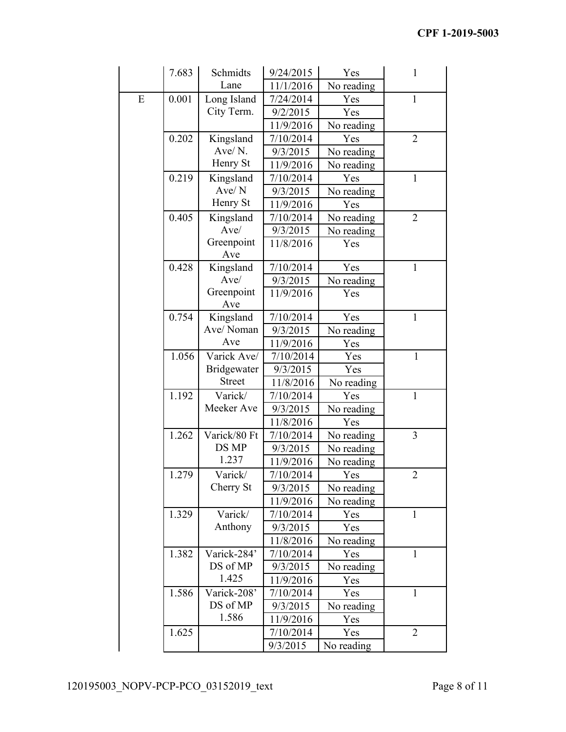|   | 7.683 | Schmidts          | 9/24/2015 | Yes        | 1              |
|---|-------|-------------------|-----------|------------|----------------|
|   |       | Lane              | 11/1/2016 | No reading |                |
| E | 0.001 | Long Island       | 7/24/2014 | Yes        | $\mathbf{1}$   |
|   |       | City Term.        | 9/2/2015  | Yes        |                |
|   |       |                   | 11/9/2016 | No reading |                |
|   | 0.202 | Kingsland         | 7/10/2014 | Yes        | $\overline{2}$ |
|   |       | Ave/N.            | 9/3/2015  | No reading |                |
|   |       | Henry St          | 11/9/2016 | No reading |                |
|   | 0.219 | Kingsland         | 7/10/2014 | Yes        | $\mathbf{1}$   |
|   |       | Ave/N             | 9/3/2015  | No reading |                |
|   |       | Henry St          | 11/9/2016 | Yes        |                |
|   | 0.405 | Kingsland         | 7/10/2014 | No reading | $\overline{2}$ |
|   |       | Ave/              | 9/3/2015  | No reading |                |
|   |       | Greenpoint        | 11/8/2016 | Yes        |                |
|   |       | Ave               |           |            |                |
|   | 0.428 | Kingsland         | 7/10/2014 | Yes        | 1              |
|   |       | Ave/              | 9/3/2015  | No reading |                |
|   |       | Greenpoint<br>Ave | 11/9/2016 | Yes        |                |
|   | 0.754 | Kingsland         | 7/10/2014 | Yes        | 1              |
|   |       | Ave/Noman         | 9/3/2015  | No reading |                |
|   |       | Ave               | 11/9/2016 | Yes        |                |
|   | 1.056 | Varick Ave/       | 7/10/2014 | Yes        | $\mathbf{1}$   |
|   |       | Bridgewater       | 9/3/2015  | Yes        |                |
|   |       | <b>Street</b>     | 11/8/2016 | No reading |                |
|   | 1.192 | Varick/           | 7/10/2014 | Yes        | $\mathbf{1}$   |
|   |       | Meeker Ave        | 9/3/2015  | No reading |                |
|   |       |                   | 11/8/2016 | Yes        |                |
|   | 1.262 | Varick/80 Ft      | 7/10/2014 | No reading | 3              |
|   |       | DS MP             | 9/3/2015  | No reading |                |
|   |       | 1.237             | 11/9/2016 | No reading |                |
|   | 1.279 | Varick/           | 7/10/2014 | Yes        | $\overline{2}$ |
|   |       | Cherry St         | 9/3/2015  | No reading |                |
|   |       |                   | 11/9/2016 | No reading |                |
|   | 1.329 | Varick/           | 7/10/2014 | Yes        | $\mathbf{1}$   |
|   |       | Anthony           | 9/3/2015  | Yes        |                |
|   |       |                   | 11/8/2016 | No reading |                |
|   | 1.382 | Varick-284'       | 7/10/2014 | Yes        | $\mathbf{1}$   |
|   |       | DS of MP          | 9/3/2015  | No reading |                |
|   |       | 1.425             | 11/9/2016 | Yes        |                |
|   | 1.586 | Varick-208'       | 7/10/2014 | Yes        | $\mathbf{1}$   |
|   |       | DS of MP          | 9/3/2015  | No reading |                |
|   |       | 1.586             | 11/9/2016 | Yes        |                |
|   | 1.625 |                   | 7/10/2014 | Yes        | $\overline{2}$ |
|   |       |                   | 9/3/2015  | No reading |                |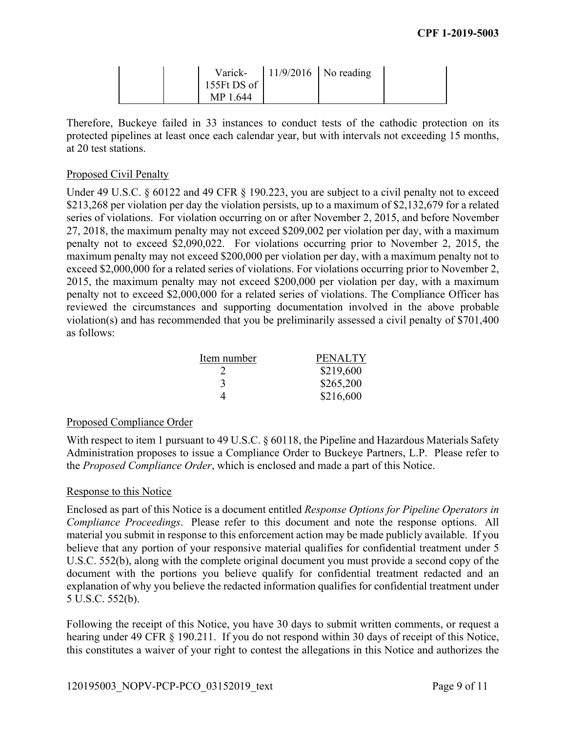|                        | Varick- $\vert$ 11/9/2016   No reading |  |
|------------------------|----------------------------------------|--|
| 155 $Ft$ DS of $\vert$ |                                        |  |
| MP 1.644               |                                        |  |

Therefore, Buckeye failed in 33 instances to conduct tests of the cathodic protection on its protected pipelines at least once each calendar year, but with intervals not exceeding 15 months, at 20 test stations.

### Proposed Civil Penalty

Under 49 U.S.C. § 60122 and 49 CFR § 190.223, you are subject to a civil penalty not to exceed \$213,268 per violation per day the violation persists, up to a maximum of \$2,132,679 for a related series of violations. For violation occurring on or after November 2, 2015, and before November 27, 2018, the maximum penalty may not exceed \$209,002 per violation per day, with a maximum penalty not to exceed \$2,090,022. For violations occurring prior to November 2, 2015, the maximum penalty may not exceed \$200,000 per violation per day, with a maximum penalty not to exceed \$2,000,000 for a related series of violations. For violations occurring prior to November 2, 2015, the maximum penalty may not exceed \$200,000 per violation per day, with a maximum penalty not to exceed \$2,000,000 for a related series of violations. The Compliance Officer has reviewed the circumstances and supporting documentation involved in the above probable violation(s) and has recommended that you be preliminarily assessed a civil penalty of \$701,400 as follows:

| Item number | <b>PENALTY</b> |
|-------------|----------------|
|             | \$219,600      |
| 3           | \$265,200      |
| Δ           | \$216,600      |

#### Proposed Compliance Order

With respect to item 1 pursuant to 49 U.S.C. § 60118, the Pipeline and Hazardous Materials Safety Administration proposes to issue a Compliance Order to Buckeye Partners, L.P. Please refer to the *Proposed Compliance Order*, which is enclosed and made a part of this Notice.

#### Response to this Notice

 *Compliance Proceedings*. Please refer to this document and note the response options. All Enclosed as part of this Notice is a document entitled *Response Options for Pipeline Operators in*  material you submit in response to this enforcement action may be made publicly available. If you believe that any portion of your responsive material qualifies for confidential treatment under 5 U.S.C. 552(b), along with the complete original document you must provide a second copy of the document with the portions you believe qualify for confidential treatment redacted and an explanation of why you believe the redacted information qualifies for confidential treatment under 5 U.S.C. 552(b).

Following the receipt of this Notice, you have 30 days to submit written comments, or request a hearing under 49 CFR § 190.211. If you do not respond within 30 days of receipt of this Notice, this constitutes a waiver of your right to contest the allegations in this Notice and authorizes the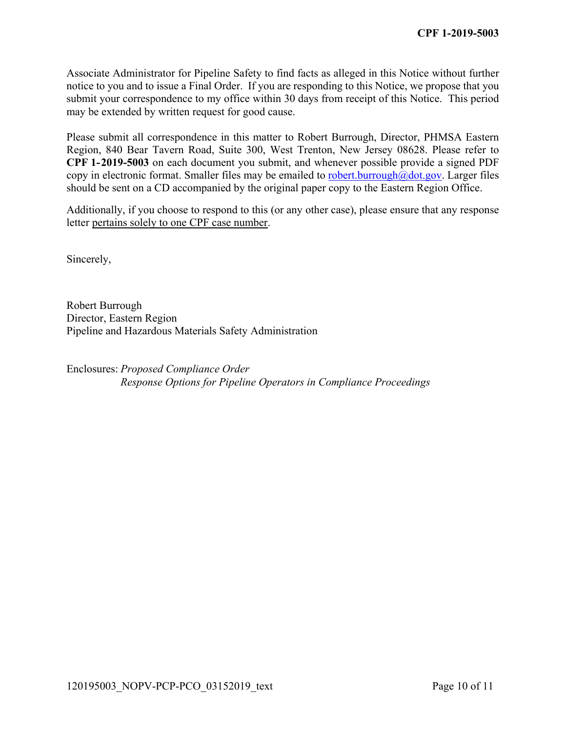submit your correspondence to my office within 30 days from receipt of this Notice. This period Associate Administrator for Pipeline Safety to find facts as alleged in this Notice without further notice to you and to issue a Final Order. If you are responding to this Notice, we propose that you may be extended by written request for good cause.

Please submit all correspondence in this matter to Robert Burrough, Director, PHMSA Eastern Region, 840 Bear Tavern Road, Suite 300, West Trenton, New Jersey 08628. Please refer to **CPF 1-2019-5003** on each document you submit, and whenever possible provide a signed PDF copy in electronic format. Smaller files may be emailed to [robert.burrough@dot.gov](mailto:robert.burrough@dot.gov). Larger files should be sent on a CD accompanied by the original paper copy to the Eastern Region Office.

Additionally, if you choose to respond to this (or any other case), please ensure that any response letter pertains solely to one CPF case number.

Sincerely,

Robert Burrough Director, Eastern Region Pipeline and Hazardous Materials Safety Administration

Enclosures: *Proposed Compliance Order Response Options for Pipeline Operators in Compliance Proceedings*